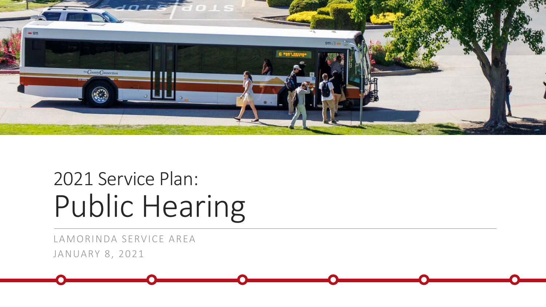

# 2021 Service Plan: Public Hearing

LAMORINDA SERVICE AREA JANUARY 8, 2021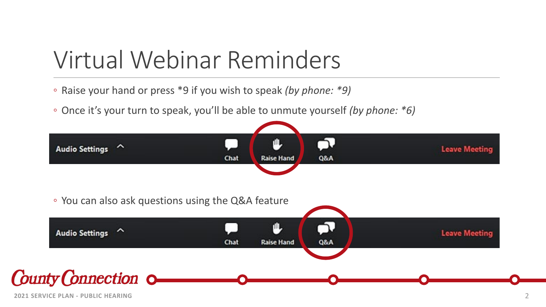# Virtual Webinar Reminders

- Raise your hand or press \*9 if you wish to speak *(by phone: \*9)*
- Once it's your turn to speak, you'll be able to unmute yourself *(by phone: \*6)*

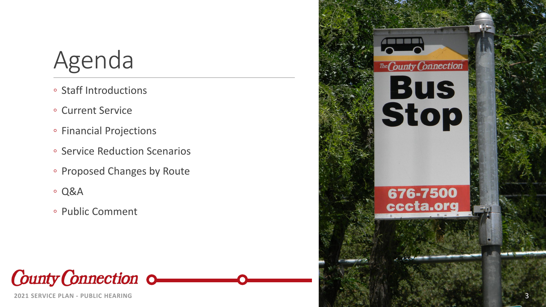# Agenda

- Staff Introductions
- Current Service
- Financial Projections
- Service Reduction Scenarios
- Proposed Changes by Route
- Q&A
- Public Comment

**County Connection 0** 

**2021 SERVICE PLAN - PUBLIC HEARING**

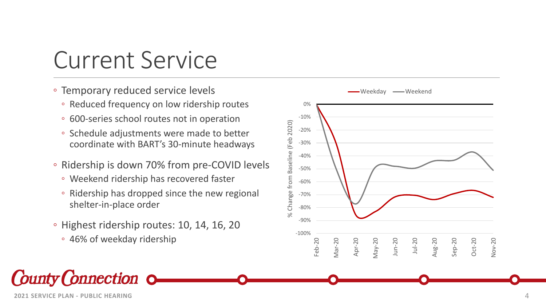# Current Service

- Temporary reduced service levels
	- Reduced frequency on low ridership routes
	- 600-series school routes not in operation
	- Schedule adjustments were made to better coordinate with BART's 30 -minute headways
- Ridership is down 70% from pre -COVID levels
	- Weekend ridership has recovered faster
	- Ridership has dropped since the new regional shelter -in -place order
- Highest ridership routes: 10, 14, 16, 20
	- 46% of weekday ridership

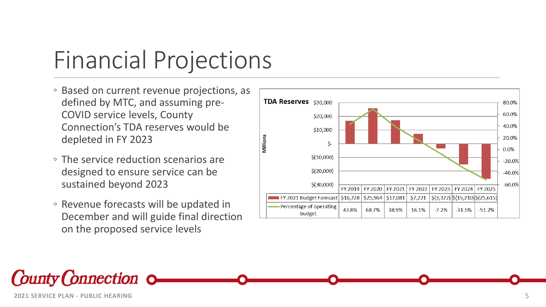# Financial Projections

- Based on current revenue projections, as defined by MTC, and assuming pre - COVID service levels, County Connection's TDA reserves would be depleted in FY 2023
- The service reduction scenarios are designed to ensure service can be sustained beyond 2023
- Revenue forecasts will be updated in December and will guide final direction on the proposed service levels



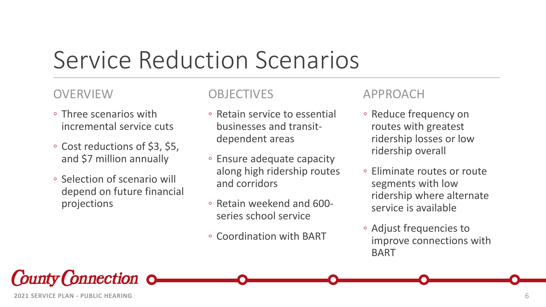# Service Reduction Scenarios

#### **OVERVIEW**

- Three scenarios with incremental service cuts
- Cost reductions of \$3, \$5, and \$7 million annually
- Selection of scenario will depend on future financial projections

#### **OBJECTIVES**

- Retain service to essential businesses and transitdependent areas
- Ensure adequate capacity along high ridership routes and corridors
- Retain weekend and 600 series school service
- Coordination with BART

#### APPROACH

- Reduce frequency on routes with greatest ridership losses or low ridership overall
- Eliminate routes or route segments with low ridership where alternate service is available
- Adjust frequencies to improve connections with BART

County Connection of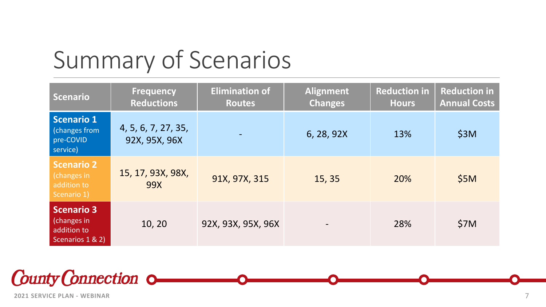# Summary of Scenarios

| <b>Scenario</b>                                                     | <b>Frequency</b><br><b>Reductions</b> | <b>Elimination of</b><br><b>Routes</b> | <b>Alignment</b><br><b>Changes</b> | <b>Reduction in</b><br><b>Hours</b> | <b>Reduction in</b><br><b>Annual Costs</b> |
|---------------------------------------------------------------------|---------------------------------------|----------------------------------------|------------------------------------|-------------------------------------|--------------------------------------------|
| <b>Scenario 1</b><br><b>Changes from</b><br>pre-COVID<br>service)   | 4, 5, 6, 7, 27, 35,<br>92X, 95X, 96X  |                                        | 6, 28, 92X                         | 13%                                 | \$3M                                       |
| <b>Scenario 2</b><br>(changes in<br>addition to<br>Scenario 1)      | 15, 17, 93X, 98X,<br>99X              | 91X, 97X, 315                          | 15, 35                             | 20%                                 | \$5M                                       |
| <b>Scenario 3</b><br>(changes in<br>addition to<br>Scenarios 1 & 2) | 10, 20                                | 92X, 93X, 95X, 96X                     |                                    | 28%                                 | \$7M                                       |

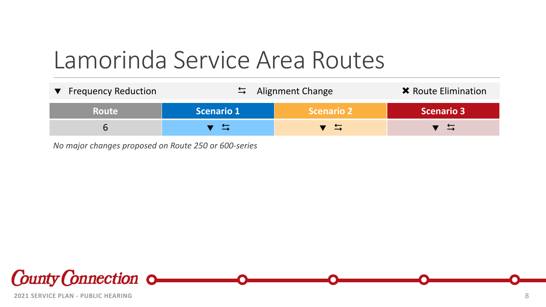# Lamorinda Service Area Routes

| ▼ Frequency Reduction | $\frac{1}{2}$ Alignment Change |                   | <b>*</b> Route Elimination |
|-----------------------|--------------------------------|-------------------|----------------------------|
| <b>Route</b>          | Scenario 1                     | <b>Scenario 2</b> | <b>Scenario 3</b>          |
|                       |                                | ゚゙゙ヿ              | 一二                         |

*No major changes proposed on Route 250 or 600-series*

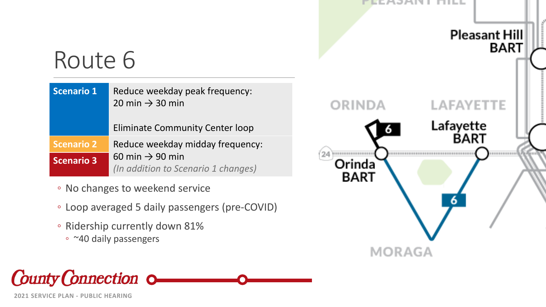#### EEAJAN I FIILL

**ORINDA** 

Orinda

**BART** 

**MORAGA** 



6

# Route 6

| <b>Scenario 1</b> | Reduce weekday peak frequency:<br>20 min $\rightarrow$ 30 min<br><b>Eliminate Community Center loop</b> |
|-------------------|---------------------------------------------------------------------------------------------------------|
|                   |                                                                                                         |
| <b>Scenario 2</b> | Reduce weekday midday frequency:                                                                        |
| <b>Scenario 3</b> | 60 min $\rightarrow$ 90 min<br>(In addition to Scenario 1 changes)                                      |

- No changes to weekend service
- Loop averaged 5 daily passengers (pre-COVID)
- Ridership currently down 81%
	- ~40 daily passengers

**County Connection 0-**

**2021 SERVICE PLAN - PUBLIC HEARING**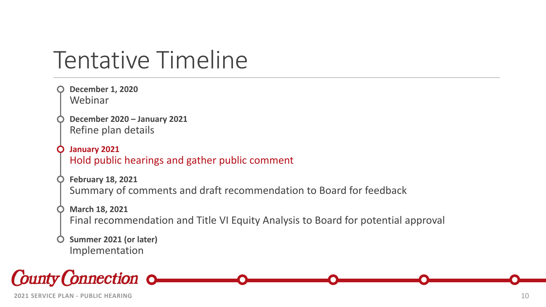# Tentative Timeline

```
December 1, 2020
Webinar
December 2020 – January 2021
Refine plan details
January 2021
Hold public hearings and gather public comment
February 18, 2021
Summary of comments and draft recommendation to Board for feedback
March 18, 2021
Final recommendation and Title VI Equity Analysis to Board for potential approval
Summer 2021 (or later)
Implementation
```
County Connection of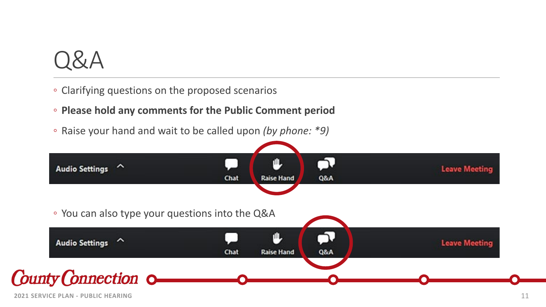

- Clarifying questions on the proposed scenarios
- **Please hold any comments for the Public Comment period**
- Raise your hand and wait to be called upon *(by phone: \*9)*

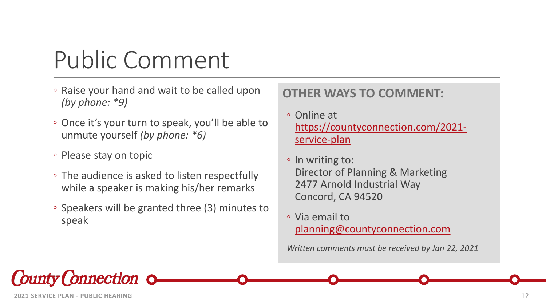# Public Comment

- Raise your hand and wait to be called upon *(by phone: \*9)*
- Once it's your turn to speak, you'll be able to unmute yourself *(by phone: \*6)*
- Please stay on topic
- The audience is asked to listen respectfully while a speaker is making his/her remarks
- Speakers will be granted three (3) minutes to speak

### **OTHER WAYS TO COMMENT:**

- Online at [https://countyconnection.com/2021](https://countyconnection.com/2021-service-plan) service-plan
- In writing to: Director of Planning & Marketing 2477 Arnold Industrial Way Concord, CA 94520
- Via email to [planning@countyconnection.com](mailto:planning@countyconnection.com)

*Written comments must be received by Jan 22, 2021*